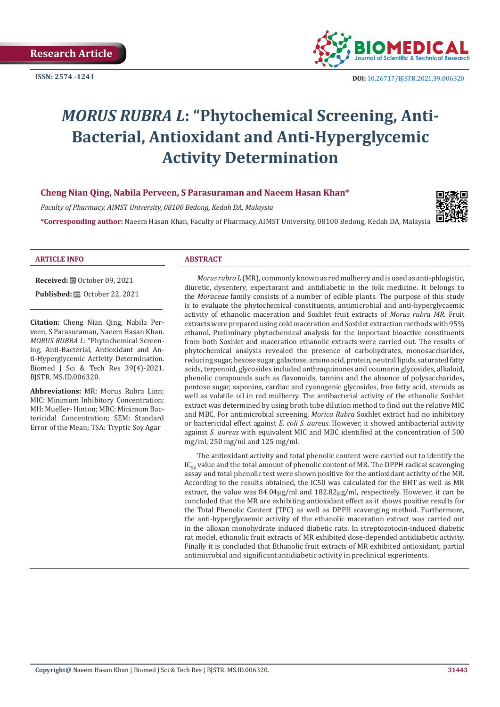**ISSN: 2574 -1241**



# *MORUS RUBRA L***: "Phytochemical Screening, Anti-Bacterial, Antioxidant and Anti-Hyperglycemic Activity Determination**

# **Cheng Nian Qing, Nabila Perveen, S Parasuraman and Naeem Hasan Khan\***

*Faculty of Pharmacy, AIMST University, 08100 Bedong, Kedah DA, Malaysia* 

**\*Corresponding author:** Naeem Hasan Khan, Faculty of Pharmacy, AIMST University, 08100 Bedong, Kedah DA, Malaysia



#### **ARTICLE INFO ABSTRACT**

**Received:** ■ October 09, 2021

**Published: @** October 22, 2021

**Citation:** Cheng Nian Qing, Nabila Perveen, S Parasuraman, Naeem Hasan Khan. *MORUS RUBRA L*: "Phytochemical Screening, Anti-Bacterial, Antioxidant and Anti-Hyperglycemic Activity Determination. Biomed J Sci & Tech Res 39(4)-2021. BJSTR. MS.ID.006320.

**Abbreviations:** MR: Morus Rubra Linn; MIC: Minimum Inhibitory Concentration; MH: Mueller- Hinton; MBC: Minimum Bactericidal Concentration; SEM: Standard Error of the Mean; TSA: Tryptic Soy Agar

*Morus rubra L* (MR), commonly known as red mulberry and is used as anti-phlogistic, diuretic, dysentery, expectorant and antidiabetic in the folk medicine. It belongs to the *Moraceae* family consists of a number of edible plants. The purpose of this study is to evaluate the phytochemical constituents, antimicrobial and anti-hyperglycaemic activity of ethanolic maceration and Soxhlet fruit extracts of *Morus rubra MR*. Fruit extracts were prepared using cold maceration and Soxhlet extraction methods with 95% ethanol. Preliminary phytochemical analysis for the important bioactive constituents from both Soxhlet and maceration ethanolic extracts were carried out. The results of phytochemical analysis revealed the presence of carbohydrates, monosaccharides, reducing sugar, hexose sugar, galactose, amino acid, protein, neutral lipids, saturated fatty acids, terpenoid, glycosides included anthraquinones and coumarin glycosides, alkaloid, phenolic compounds such as flavonoids, tannins and the absence of polysaccharides, pentose sugar, saponins, cardiac and cyanogenic glycosides, free fatty acid, steroids as well as volatile oil in red mulberry. The antibacterial activity of the ethanolic Soxhlet extract was determined by using broth tube dilution method to find out the relative MIC and MBC. For antimicrobial screening, *Morica Rubra* Soxhlet extract had no inhibitory or bactericidal effect against *E. coli S. aureus*. However, it showed antibacterial activity against *S. aureus* with equivalent MIC and MBC identified at the concentration of 500 mg/ml, 250 mg/ml and 125 mg/ml.

The antioxidant activity and total phenolic content were carried out to identify the  $IC_{50}$  value and the total amount of phenolic content of MR. The DPPH radical scavenging assay and total phenolic test were shown positive for the antioxidant activity of the MR. According to the results obtained, the IC50 was calculated for the BHT as well as MR extract, the value was 84.04µg/ml and 182.82µg/ml, respectively. However, it can be concluded that the MR are exhibiting antioxidant effect as it shows positive results for the Total Phenolic Content (TPC) as well as DPPH scavenging method. Furthermore, the anti-hyperglycaemic activity of the ethanolic maceration extract was carried out in the alloxan monohydrate induced diabetic rats. In streptozotocin-induced diabetic rat model, ethanolic fruit extracts of MR exhibited dose-depended antidiabetic activity. Finally it is concluded that Ethanolic fruit extracts of MR exhibited antioxidant, partial antimicrobial and significant antidiabetic activity in preclinical experiments.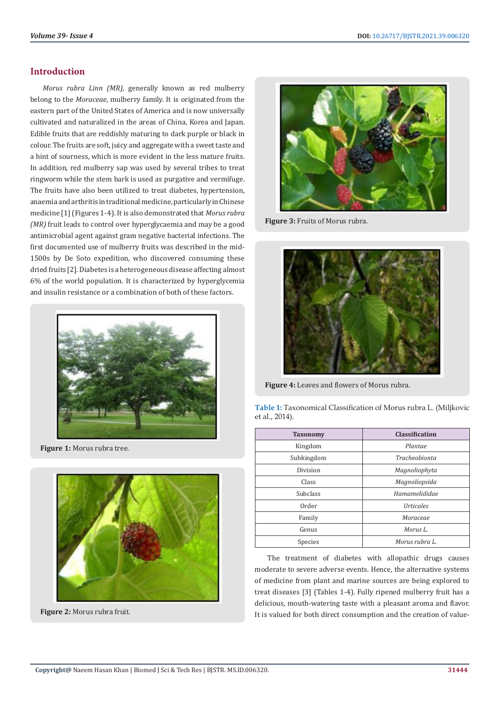# **Introduction**

*Morus rubra Linn (MR)*, generally known as red mulberry belong to the *Moraceae*, mulberry family. It is originated from the eastern part of the United States of America and is now universally cultivated and naturalized in the areas of China, Korea and Japan. Edible fruits that are reddishly maturing to dark purple or black in colour. The fruits are soft, juicy and aggregate with a sweet taste and a hint of sourness, which is more evident in the less mature fruits. In addition, red mulberry sap was used by several tribes to treat ringworm while the stem bark is used as purgative and vermifuge. The fruits have also been utilized to treat diabetes, hypertension, anaemia and arthritis in traditional medicine, particularly in Chinese medicine [1] (Figures 1-4). It is also demonstrated that *Morus rubra (MR)* fruit leads to control over hyperglycaemia and may be a good antimicrobial agent against gram negative bacterial infections. The first documented use of mulberry fruits was described in the mid-1500s by De Soto expedition, who discovered consuming these dried fruits [2]. Diabetes is a heterogeneous disease affecting almost 6% of the world population. It is characterized by hyperglycemia and insulin resistance or a combination of both of these factors.



**Figure 1:** Morus rubra tree.



**Figure 2:** Morus rubra fruit.



**Figure 3:** Fruits of Morus rubra.



**Figure 4:** Leaves and flowers of Morus rubra.

| Table 1: Taxonomical Classification of Morus rubra L. (Miljkovic |  |
|------------------------------------------------------------------|--|
| et al., 2014).                                                   |  |

| <b>Taxonomy</b> | <b>Classification</b>          |  |
|-----------------|--------------------------------|--|
| Kingdom         | Plantae                        |  |
| Subkingdom      | <b>Tracheobionta</b>           |  |
| Division        | Magnoliophyta                  |  |
| Class           | Magnoliopsida                  |  |
| <b>Subclass</b> | Hamamelididae                  |  |
| Order           | <i><u><b>Urticales</b></u></i> |  |
| Family          | Moraceae                       |  |
| Genus           | Morus L.                       |  |
| Species         | Morus rubra L.                 |  |

The treatment of diabetes with allopathic drugs causes moderate to severe adverse events. Hence, the alternative systems of medicine from plant and marine sources are being explored to treat diseases [3] (Tables 1-4). Fully ripened mulberry fruit has a delicious, mouth-watering taste with a pleasant aroma and flavor. It is valued for both direct consumption and the creation of value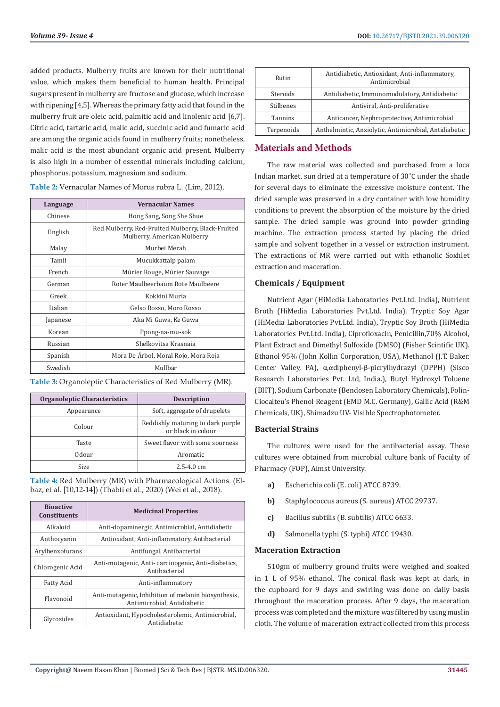added products. Mulberry fruits are known for their nutritional value, which makes them beneficial to human health. Principal sugars present in mulberry are fructose and glucose, which increase with ripening [4,5]. Whereas the primary fatty acid that found in the mulberry fruit are oleic acid, palmitic acid and linolenic acid [6,7]. Citric acid, tartaric acid, malic acid, succinic acid and fumaric acid are among the organic acids found in mulberry fruits; nonetheless, malic acid is the most abundant organic acid present. Mulberry is also high in a number of essential minerals including calcium, phosphorus, potassium, magnesium and sodium.

**Table 2:** Vernacular Names of Morus rubra L. (Lim, 2012).

| Language | <b>Vernacular Names</b>                                                          |
|----------|----------------------------------------------------------------------------------|
| Chinese  | Hong Sang, Song She Shue                                                         |
| English  | Red Mulberry, Red-Fruited Mulberry, Black-Fruited<br>Mulberry, American Mulberry |
| Malay    | Murbei Merah                                                                     |
| Tamil    | Mucukkattaip palam                                                               |
| French   | Mûrier Rouge, Mûrier Sauvage                                                     |
| German   | Roter Maulbeerbaum Rote Maulbeere                                                |
| Greek    | Kokkini Muria                                                                    |
| Italian  | Gelso Rosso, Moro Rosso                                                          |
| Japanese | Aka Mi Guwa, Ke Guwa                                                             |
| Korean   | Ppong-na-mu-sok                                                                  |
| Russian  | Shelkovitsa Krasnaja                                                             |
| Spanish  | Mora De Árbol, Moral Rojo, Mora Roja                                             |
| Swedish  | Mullbär                                                                          |

**Table 3:** Organoleptic Characteristics of Red Mulberry (MR).

| Organoleptic Characteristics | <b>Description</b>                                      |
|------------------------------|---------------------------------------------------------|
| Appearance                   | Soft, aggregate of drupelets                            |
| Colour                       | Reddishly maturing to dark purple<br>or black in colour |
| Taste                        | Sweet flavor with some sourness                         |
| Odour                        | Aromatic                                                |
| Size                         | $2.5 - 4.0$ cm                                          |

**Table 4:** Red Mulberry (MR) with Pharmacological Actions. (Elbaz, et al. [10,12-14]) (Thabti et al., 2020) (Wei et al., 2018).

| <b>Bioactive</b><br><b>Constituents</b> | <b>Medicinal Properties</b>                                                        |
|-----------------------------------------|------------------------------------------------------------------------------------|
| Alkaloid                                | Anti-dopaminergic, Antimicrobial, Antidiabetic                                     |
| Anthocyanin                             | Antioxidant, Anti-inflammatory, Antibacterial                                      |
| Arylbenzofurans                         | Antifungal, Antibacterial                                                          |
| Chlorogenic Acid                        | Anti-mutagenic, Anti-carcinogenic, Anti-diabetics,<br>Antihacterial                |
| Fatty Acid                              | Anti-inflammatory                                                                  |
| Flavonoid                               | Anti-mutagenic, Inhibition of melanin biosynthesis,<br>Antimicrobial, Antidiabetic |
| Glycosides                              | Antioxidant, Hypocholesterolemic, Antimicrobial,<br>Antidiabetic                   |

| Rutin          | Antidiabetic, Antioxidant, Anti-inflammatory,<br>Antimicrobial |  |
|----------------|----------------------------------------------------------------|--|
| Steroids       | Antidiabetic, Immunomodulatory, Antidiabetic                   |  |
| Stilbenes      | Antiviral, Anti-proliferative                                  |  |
| <b>Tannins</b> | Anticancer, Nephroprotective, Antimicrobial                    |  |
| Terpenoids     | Anthelmintic, Anxiolytic, Antimicrobial, Antidiabetic          |  |

# **Materials and Methods**

The raw material was collected and purchased from a loca Indian market. sun dried at a temperature of 30˚C under the shade for several days to eliminate the excessive moisture content. The dried sample was preserved in a dry container with low humidity conditions to prevent the absorption of the moisture by the dried sample. The dried sample was ground into powder grinding machine. The extraction process started by placing the dried sample and solvent together in a vessel or extraction instrument. The extractions of MR were carried out with ethanolic Soxhlet extraction and maceration.

# **Chemicals / Equipment**

Nutrient Agar (HiMedia Laboratories Pvt.Ltd. India), Nutrient Broth (HiMedia Laboratories Pvt.Ltd. India), Tryptic Soy Agar (HiMedia Laboratories Pvt.Ltd. India), Tryptic Soy Broth (HiMedia Laboratories Pvt.Ltd. India), Ciprofloxacin, Penicillin,70% Alcohol, Plant Extract and Dimethyl Sulfoxide (DMSO) (Fisher Scintific UK). Ethanol 95% (John Kollin Corporation, USA), Methanol (J.T. Baker. Center Valley, PA), α,αdiphenyl-β-picrylhydrazyl (DPPH) (Sisco Research Laboratories Pvt. Ltd, India.), Butyl Hydroxyl Toluene (BHT), Sodium Carbonate (Bendosen Laboratory Chemicals), Folin-Ciocalteu's Phenol Reagent (EMD M.C. Germany), Gallic Acid (R&M Chemicals, UK), Shimadzu UV- Visible Spectrophotometer.

# **Bacterial Strains**

The cultures were used for the antibacterial assay. These cultures were obtained from microbial culture bank of Faculty of Pharmacy (FOP), Aimst University.

- **a)** Escherichia coli (E. coli) ATCC 8739.
- **b)** Staphylococcus aureus (S. aureus) ATCC 29737.
- **c)** Bacillus subtilis (B. subtilis) ATCC 6633.
- **d)** Salmonella typhi (S. typhi) ATCC 19430.

# **Maceration Extraction**

510gm of mulberry ground fruits were weighed and soaked in 1 L of 95% ethanol. The conical flask was kept at dark, in the cupboard for 9 days and swirling was done on daily basis throughout the maceration process. After 9 days, the maceration process was completed and the mixture was filtered by using muslin cloth. The volume of maceration extract collected from this process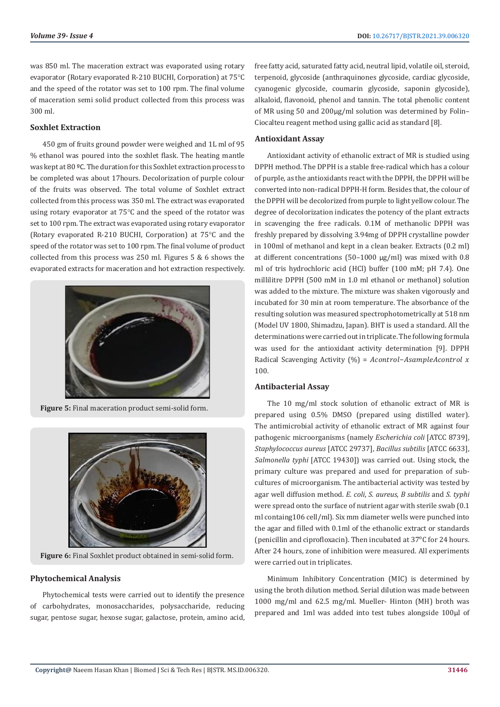was 850 ml. The maceration extract was evaporated using rotary evaporator (Rotary evaporated R-210 BUCHI, Corporation) at 75°C and the speed of the rotator was set to 100 rpm. The final volume of maceration semi solid product collected from this process was 300 ml.

# **Soxhlet Extraction**

450 gm of fruits ground powder were weighed and 1L ml of 95 % ethanol was poured into the soxhlet flask. The heating mantle was kept at 80 ºC. The duration for this Soxhlet extraction process to be completed was about 17hours. Decolorization of purple colour of the fruits was observed. The total volume of Soxhlet extract collected from this process was 350 ml. The extract was evaporated using rotary evaporator at 75°C and the speed of the rotator was set to 100 rpm. The extract was evaporated using rotary evaporator (Rotary evaporated R-210 BUCHI, Corporation) at 75°C and the speed of the rotator was set to 100 rpm. The final volume of product collected from this process was 250 ml. Figures 5 & 6 shows the evaporated extracts for maceration and hot extraction respectively.



**Figure 5:** Final maceration product semi-solid form.



**Figure 6:** Final Soxhlet product obtained in semi-solid form.

# **Phytochemical Analysis**

Phytochemical tests were carried out to identify the presence of carbohydrates, monosaccharides, polysaccharide, reducing sugar, pentose sugar, hexose sugar, galactose, protein, amino acid,

free fatty acid, saturated fatty acid, neutral lipid, volatile oil, steroid, terpenoid, glycoside (anthraquinones glycoside, cardiac glycoside, cyanogenic glycoside, coumarin glycoside, saponin glycoside), alkaloid, flavonoid, phenol and tannin. The total phenolic content of MR using 50 and 200µg/ml solution was determined by Folin– Ciocalteu reagent method using gallic acid as standard [8].

# **Antioxidant Assay**

Antioxidant activity of ethanolic extract of MR is studied using DPPH method. The DPPH is a stable free-radical which has a colour of purple, as the antioxidants react with the DPPH, the DPPH will be converted into non-radical DPPH-H form. Besides that, the colour of the DPPH will be decolorized from purple to light yellow colour. The degree of decolorization indicates the potency of the plant extracts in scavenging the free radicals. 0.1M of methanolic DPPH was freshly prepared by dissolving 3.94mg of DPPH crystalline powder in 100ml of methanol and kept in a clean beaker. Extracts (0.2 ml) at different concentrations (50–1000 μg/ml) was mixed with 0.8 ml of tris hydrochloric acid (HCl) buffer (100 mM; pH 7.4). One millilitre DPPH (500 mM in 1.0 ml ethanol or methanol) solution was added to the mixture. The mixture was shaken vigorously and incubated for 30 min at room temperature. The absorbance of the resulting solution was measured spectrophotometrically at 518 nm (Model UV 1800, Shimadzu, Japan). BHT is used a standard. All the determinations were carried out in triplicate. The following formula was used for the antioxidant activity determination [9]. DPPH Radical Scavenging Activity (%) =  $Acontrol-Asample A control x$ 100.

# **Antibacterial Assay**

The 10 mg/ml stock solution of ethanolic extract of MR is prepared using 0.5% DMSO (prepared using distilled water). The antimicrobial activity of ethanolic extract of MR against four pathogenic microorganisms (namely *Escherichia coli* [ATCC 8739], *Staphylococcus aureus* [ATCC 29737], *Bacillus subtilis* [ATCC 6633], *Salmonella typhi* [ATCC 19430]) was carried out. Using stock, the primary culture was prepared and used for preparation of subcultures of microorganism. The antibacterial activity was tested by agar well diffusion method. *E. coli*, *S. aureus*, *B subtilis* and *S. typhi* were spread onto the surface of nutrient agar with sterile swab (0.1 ml containg106 cell/ml). Six mm diameter wells were punched into the agar and filled with 0.1ml of the ethanolic extract or standards (penicillin and ciprofloxacin). Then incubated at 37°C for 24 hours. After 24 hours, zone of inhibition were measured. All experiments were carried out in triplicates.

Minimum Inhibitory Concentration (MIC) is determined by using the broth dilution method. Serial dilution was made between 1000 mg/ml and 62.5 mg/ml. Mueller- Hinton (MH) broth was prepared and 1ml was added into test tubes alongside 100μl of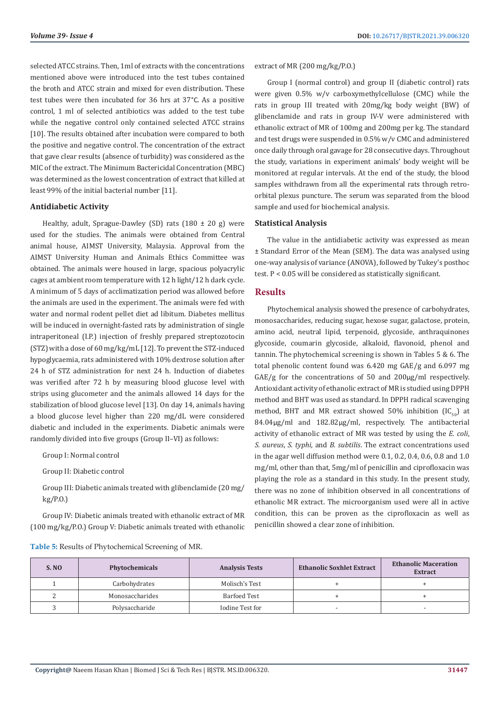selected ATCC strains. Then, 1ml of extracts with the concentrations mentioned above were introduced into the test tubes contained the broth and ATCC strain and mixed for even distribution. These test tubes were then incubated for 36 hrs at 37°C. As a positive control, 1 ml of selected antibiotics was added to the test tube while the negative control only contained selected ATCC strains [10]. The results obtained after incubation were compared to both the positive and negative control. The concentration of the extract that gave clear results (absence of turbidity) was considered as the MIC of the extract. The Minimum Bactericidal Concentration (MBC) was determined as the lowest concentration of extract that killed at least 99% of the initial bacterial number [11].

# **Antidiabetic Activity**

Healthy, adult, Sprague-Dawley (SD) rats (180  $\pm$  20 g) were used for the studies. The animals were obtained from Central animal house, AIMST University, Malaysia. Approval from the AIMST University Human and Animals Ethics Committee was obtained. The animals were housed in large, spacious polyacrylic cages at ambient room temperature with 12 h light/12 h dark cycle. A minimum of 5 days of acclimatization period was allowed before the animals are used in the experiment. The animals were fed with water and normal rodent pellet diet ad libitum. Diabetes mellitus will be induced in overnight-fasted rats by administration of single intraperitoneal (I.P.) injection of freshly prepared streptozotocin (STZ) with a dose of 60 mg/kg/mL [12]. To prevent the STZ-induced hypoglycaemia, rats administered with 10% dextrose solution after 24 h of STZ administration for next 24 h. Induction of diabetes was verified after 72 h by measuring blood glucose level with strips using glucometer and the animals allowed 14 days for the stabilization of blood glucose level [13]. On day 14, animals having a blood glucose level higher than 220 mg/dL were considered diabetic and included in the experiments. Diabetic animals were randomly divided into five groups (Group II–VI) as follows:

Group I: Normal control

Group II: Diabetic control

Group III: Diabetic animals treated with glibenclamide (20 mg/ kg/P.O.)

Group IV: Diabetic animals treated with ethanolic extract of MR (100 mg/kg/P.O.) Group V: Diabetic animals treated with ethanolic

**Table 5:** Results of Phytochemical Screening of MR.

Group I (normal control) and group II (diabetic control) rats were given 0.5% w/v carboxymethylcellulose (CMC) while the rats in group III treated with 20mg/kg body weight (BW) of glibenclamide and rats in group IV-V were administered with ethanolic extract of MR of 100mg and 200mg per kg. The standard and test drugs were suspended in 0.5% w/v CMC and administered once daily through oral gavage for 28 consecutive days. Throughout the study, variations in experiment animals' body weight will be monitored at regular intervals. At the end of the study, the blood samples withdrawn from all the experimental rats through retroorbital plexus puncture. The serum was separated from the blood sample and used for biochemical analysis.

#### **Statistical Analysis**

extract of MR (200 mg/kg/P.O.)

The value in the antidiabetic activity was expressed as mean ± Standard Error of the Mean (SEM). The data was analysed using one-way analysis of variance (ANOVA), followed by Tukey's posthoc test. P < 0.05 will be considered as statistically significant.

# **Results**

Phytochemical analysis showed the presence of carbohydrates, monosaccharides, reducing sugar, hexose sugar, galactose, protein, amino acid, neutral lipid, terpenoid, glycoside, anthraquinones glycoside, coumarin glycoside, alkaloid, flavonoid, phenol and tannin. The phytochemical screening is shown in Tables 5 & 6. The total phenolic content found was 6.420 mg GAE/g and 6.097 mg GAE/g for the concentrations of 50 and 200µg/ml respectively. Antioxidant activity of ethanolic extract of MR is studied using DPPH method and BHT was used as standard. In DPPH radical scavenging method, BHT and MR extract showed 50% inhibition (IC $_{50}$ ) at 84.04µg/ml and 182.82µg/ml, respectively. The antibacterial activity of ethanolic extract of MR was tested by using the *E. coli*, *S. aureus*, *S. typhi*, and *B. subtilis*. The extract concentrations used in the agar well diffusion method were 0.1, 0.2, 0.4, 0.6, 0.8 and 1.0 mg/ml, other than that, 5mg/ml of penicillin and ciprofloxacin was playing the role as a standard in this study. In the present study, there was no zone of inhibition observed in all concentrations of ethanolic MR extract. The microorganism used were all in active condition, this can be proven as the ciprofloxacin as well as penicillin showed a clear zone of inhibition.

| <b>S. NO</b> | Phytochemicals  | <b>Analysis Tests</b> | <b>Ethanolic Soxhlet Extract</b> | <b>Ethanolic Maceration</b><br><b>Extract</b> |
|--------------|-----------------|-----------------------|----------------------------------|-----------------------------------------------|
|              | Carbohydrates   | Molisch's Test        |                                  |                                               |
|              | Monosaccharides | Barfoed Test          |                                  |                                               |
|              | Polysaccharide  | Iodine Test for       | $\overline{\phantom{a}}$         |                                               |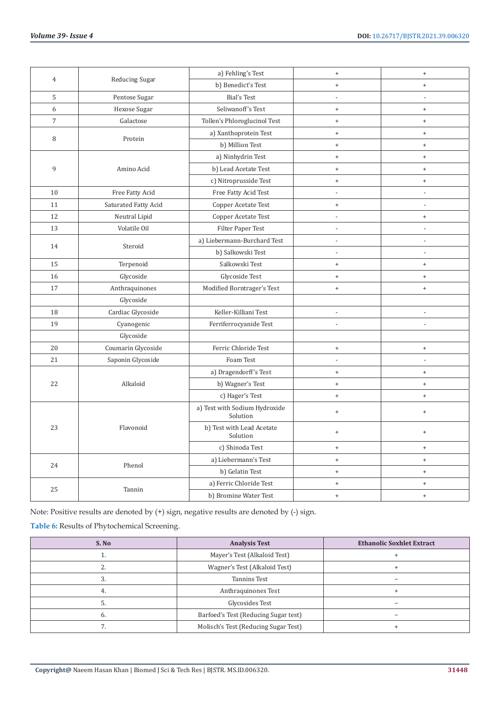|                  | $\overline{4}$        | a) Fehling's Test                         | $\bf{+}$                         | $\begin{array}{c} + \end{array}$ |
|------------------|-----------------------|-------------------------------------------|----------------------------------|----------------------------------|
|                  | Reducing Sugar        | b) Benedict's Test                        | $^+$                             | $\begin{array}{c} + \end{array}$ |
| 5                | Pentose Sugar         | <b>Bial's Test</b>                        | $\overline{\phantom{a}}$         | L,                               |
| $\boldsymbol{6}$ | Hexose Sugar          | Seliwanoff's Test                         | $\,$ +                           | $\ddot{}$                        |
| $\overline{7}$   | Galactose             | Tollen's Phloroglucinol Test              | $\,$ +                           | $\ddot{}$                        |
|                  |                       | a) Xanthoprotein Test                     | $\,$ +                           | $\qquad \qquad +$                |
| 8                | Protein               | b) Million Test                           | $\,$ +                           | $\ddot{}$                        |
|                  |                       | a) Ninhydrin Test                         | $^{\mathrm{+}}$                  | $\qquad \qquad +$                |
| 9                | Amino Acid            | b) Lead Acetate Test                      | $\,$ +                           | $\ddot{}$                        |
|                  |                       | c) Nitroprusside Test                     | $\begin{array}{c} + \end{array}$ | $\qquad \qquad +$                |
| 10               | Free Fatty Acid       | Free Fatty Acid Test                      | $\overline{\phantom{a}}$         | $\blacksquare$                   |
| 11               | Saturated Fatty Acid  | Copper Acetate Test                       | $^{\mathrm{+}}$                  | $\overline{\phantom{a}}$         |
| 12               | Neutral Lipid         | Copper Acetate Test                       | $\overline{\phantom{a}}$         | $+$                              |
| 13               | Volatile Oil          | Filter Paper Test                         | $\overline{a}$                   | L,                               |
|                  |                       | a) Liebermann-Burchard Test               | L,                               | L,                               |
| 14               | Steroid               | b) Salkowski Test                         | L,                               | $\overline{a}$                   |
| 15               | Terpenoid             | Salkowski Test                            | $\,$ +                           | $\ddot{}$                        |
| 16               | Glycoside             | Glycoside Test                            | $\ddot{}$                        | $\qquad \qquad +$                |
| 17               | Anthraquinones        | Modified Borntrager's Test                | $\,$ +                           | $\ddot{}$                        |
|                  | Glycoside             |                                           |                                  |                                  |
| 18               | Cardiac Glycoside     | Keller-Killiani Test                      | $\overline{a}$                   |                                  |
| 19               | Cyanogenic            | Ferriferrocyanide Test                    | l,                               | $\overline{a}$                   |
|                  | Glycoside             |                                           |                                  |                                  |
| 20               | Coumarin Glycoside    | Ferric Chloride Test                      | $\,$ +                           | $\ddot{}$                        |
| 21               | Saponin Glycoside     | Foam Test                                 | $\overline{a}$                   | ÷                                |
|                  |                       | a) Dragendorff's Test                     | $\,$ +                           | $\ddot{}$                        |
| 22               | Alkaloid              | b) Wagner's Test                          | $\,$ +                           | $\ddot{}$                        |
|                  |                       | c) Hager's Test                           | $^{\mathrm{+}}$                  | $\qquad \qquad +$                |
|                  |                       | a) Test with Sodium Hydroxide<br>Solution | $^{\mathrm{+}}$                  | $\ddot{}$                        |
| 23<br>Flavonoid  |                       | b) Test with Lead Acetate<br>Solution     | $\begin{array}{c} + \end{array}$ | $\ddot{}$                        |
|                  |                       | c) Shinoda Test                           | $\,$ +                           | $\qquad \qquad +$                |
|                  |                       | a) Liebermann's Test                      | $\,$ +                           | $\qquad \qquad +$                |
| 24               | Phenol                | b) Gelatin Test                           | $^+$                             | $\begin{array}{c} + \end{array}$ |
| 25               |                       | a) Ferric Chloride Test                   | $^{\mathrm{+}}$                  | $\begin{array}{c} + \end{array}$ |
| Tannin           | b) Bromine Water Test | $\,$ +                                    | $\ddot{}$                        |                                  |

Note: Positive results are denoted by (+) sign, negative results are denoted by (-) sign.

**Table 6:** Results of Phytochemical Screening.

| S. No | <b>Analysis Test</b>                 | <b>Ethanolic Soxhlet Extract</b> |
|-------|--------------------------------------|----------------------------------|
| ᅩ.    | Mayer's Test (Alkaloid Test)         |                                  |
|       | Wagner's Test (Alkaloid Test)        |                                  |
|       | <b>Tannins Test</b>                  |                                  |
| 4.    | Anthraquinones Test                  |                                  |
|       | Glycosides Test                      |                                  |
| 6.    | Barfoed's Test (Reducing Sugar test) |                                  |
| .,    | Molisch's Test (Reducing Sugar Test) |                                  |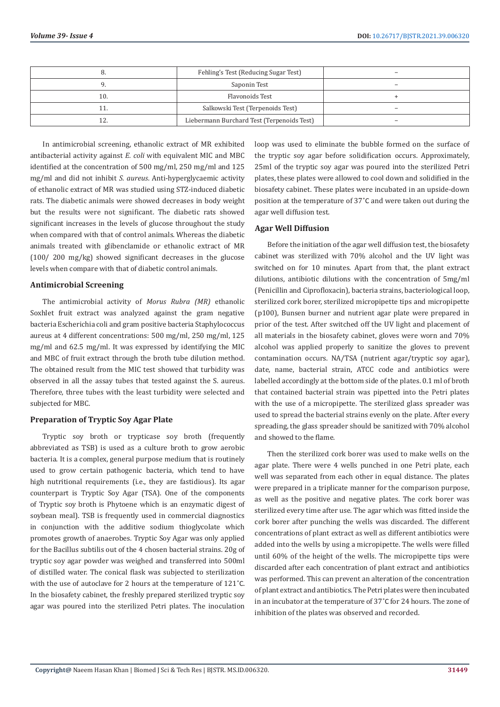|     | Fehling's Test (Reducing Sugar Test)       |                          |
|-----|--------------------------------------------|--------------------------|
|     | Saponin Test                               |                          |
| 10. | Flavonoids Test                            |                          |
|     | Salkowski Test (Terpenoids Test)           | $\overline{\phantom{a}}$ |
|     | Liebermann Burchard Test (Terpenoids Test) |                          |

In antimicrobial screening, ethanolic extract of MR exhibited antibacterial activity against *E. coli* with equivalent MIC and MBC identified at the concentration of 500 mg/ml, 250 mg/ml and 125 mg/ml and did not inhibit *S. aureus*. Anti-hyperglycaemic activity of ethanolic extract of MR was studied using STZ-induced diabetic rats. The diabetic animals were showed decreases in body weight but the results were not significant. The diabetic rats showed significant increases in the levels of glucose throughout the study when compared with that of control animals. Whereas the diabetic animals treated with glibenclamide or ethanolic extract of MR (100/ 200 mg/kg) showed significant decreases in the glucose levels when compare with that of diabetic control animals.

# **Antimicrobial Screening**

The antimicrobial activity of *Morus Rubra (MR)* ethanolic Soxhlet fruit extract was analyzed against the gram negative bacteria Escherichia coli and gram positive bacteria Staphylococcus aureus at 4 different concentrations: 500 mg/ml, 250 mg/ml, 125 mg/ml and 62.5 mg/ml. It was expressed by identifying the MIC and MBC of fruit extract through the broth tube dilution method. The obtained result from the MIC test showed that turbidity was observed in all the assay tubes that tested against the S. aureus. Therefore, three tubes with the least turbidity were selected and subjected for MBC.

# **Preparation of Tryptic Soy Agar Plate**

Tryptic soy broth or trypticase soy broth (frequently abbreviated as TSB) is used as a culture broth to grow aerobic bacteria. It is a complex, general purpose medium that is routinely used to grow certain pathogenic bacteria, which tend to have high nutritional requirements (i.e., they are fastidious). Its agar counterpart is Tryptic Soy Agar (TSA). One of the components of Tryptic soy broth is Phytoene which is an enzymatic digest of soybean meal). TSB is frequently used in commercial diagnostics in conjunction with the additive sodium thioglycolate which promotes growth of anaerobes. Tryptic Soy Agar was only applied for the Bacillus subtilis out of the 4 chosen bacterial strains. 20g of tryptic soy agar powder was weighed and transferred into 500ml of distilled water. The conical flask was subjected to sterilization with the use of autoclave for 2 hours at the temperature of 121˚C. In the biosafety cabinet, the freshly prepared sterilized tryptic soy agar was poured into the sterilized Petri plates. The inoculation

loop was used to eliminate the bubble formed on the surface of the tryptic soy agar before solidification occurs. Approximately, 25ml of the tryptic soy agar was poured into the sterilized Petri plates, these plates were allowed to cool down and solidified in the biosafety cabinet. These plates were incubated in an upside-down position at the temperature of 37˚C and were taken out during the agar well diffusion test.

# **Agar Well Diffusion**

Before the initiation of the agar well diffusion test, the biosafety cabinet was sterilized with 70% alcohol and the UV light was switched on for 10 minutes. Apart from that, the plant extract dilutions, antibiotic dilutions with the concentration of 5mg/ml (Penicillin and Ciprofloxacin), bacteria strains, bacteriological loop, sterilized cork borer, sterilized micropipette tips and micropipette (p100), Bunsen burner and nutrient agar plate were prepared in prior of the test. After switched off the UV light and placement of all materials in the biosafety cabinet, gloves were worn and 70% alcohol was applied properly to sanitize the gloves to prevent contamination occurs. NA/TSA (nutrient agar/tryptic soy agar), date, name, bacterial strain, ATCC code and antibiotics were labelled accordingly at the bottom side of the plates. 0.1 ml of broth that contained bacterial strain was pipetted into the Petri plates with the use of a micropipette. The sterilized glass spreader was used to spread the bacterial strains evenly on the plate. After every spreading, the glass spreader should be sanitized with 70% alcohol and showed to the flame.

Then the sterilized cork borer was used to make wells on the agar plate. There were 4 wells punched in one Petri plate, each well was separated from each other in equal distance. The plates were prepared in a triplicate manner for the comparison purpose, as well as the positive and negative plates. The cork borer was sterilized every time after use. The agar which was fitted inside the cork borer after punching the wells was discarded. The different concentrations of plant extract as well as different antibiotics were added into the wells by using a micropipette. The wells were filled until 60% of the height of the wells. The micropipette tips were discarded after each concentration of plant extract and antibiotics was performed. This can prevent an alteration of the concentration of plant extract and antibiotics. The Petri plates were then incubated in an incubator at the temperature of 37˚C for 24 hours. The zone of inhibition of the plates was observed and recorded.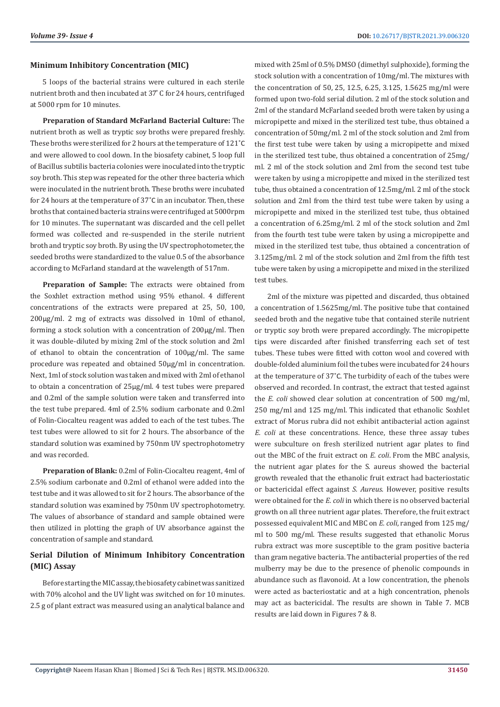# **Minimum Inhibitory Concentration (MIC)**

5 loops of the bacterial strains were cultured in each sterile nutrient broth and then incubated at 37°C for 24 hours, centrifuged at 5000 rpm for 10 minutes.

**Preparation of Standard McFarland Bacterial Culture:** The nutrient broth as well as tryptic soy broths were prepared freshly. These broths were sterilized for 2 hours at the temperature of 121˚C and were allowed to cool down. In the biosafety cabinet, 5 loop full of Bacillus subtilis bacteria colonies were inoculated into the tryptic soy broth. This step was repeated for the other three bacteria which were inoculated in the nutrient broth. These broths were incubated for 24 hours at the temperature of 37˚C in an incubator. Then, these broths that contained bacteria strains were centrifuged at 5000rpm for 10 minutes. The supernatant was discarded and the cell pellet formed was collected and re-suspended in the sterile nutrient broth and tryptic soy broth. By using the UV spectrophotometer, the seeded broths were standardized to the value 0.5 of the absorbance according to McFarland standard at the wavelength of 517nm.

**Preparation of Sample:** The extracts were obtained from the Soxhlet extraction method using 95% ethanol. 4 different concentrations of the extracts were prepared at 25, 50, 100, 200µg/ml. 2 mg of extracts was dissolved in 10ml of ethanol, forming a stock solution with a concentration of 200µg/ml. Then it was double-diluted by mixing 2ml of the stock solution and 2ml of ethanol to obtain the concentration of 100µg/ml. The same procedure was repeated and obtained 50µg/ml in concentration. Next, 1ml of stock solution was taken and mixed with 2ml of ethanol to obtain a concentration of 25µg/ml. 4 test tubes were prepared and 0.2ml of the sample solution were taken and transferred into the test tube prepared. 4ml of 2.5% sodium carbonate and 0.2ml of Folin-Ciocalteu reagent was added to each of the test tubes. The test tubes were allowed to sit for 2 hours. The absorbance of the standard solution was examined by 750nm UV spectrophotometry and was recorded.

**Preparation of Blank:** 0.2ml of Folin-Ciocalteu reagent, 4ml of 2.5% sodium carbonate and 0.2ml of ethanol were added into the test tube and it was allowed to sit for 2 hours. The absorbance of the standard solution was examined by 750nm UV spectrophotometry. The values of absorbance of standard and sample obtained were then utilized in plotting the graph of UV absorbance against the concentration of sample and standard.

# **Serial Dilution of Minimum Inhibitory Concentration (MIC) Assay**

Before starting the MIC assay, the biosafety cabinet was sanitized with 70% alcohol and the UV light was switched on for 10 minutes. 2.5 g of plant extract was measured using an analytical balance and mixed with 25ml of 0.5% DMSO (dimethyl sulphoxide), forming the stock solution with a concentration of 10mg/ml. The mixtures with the concentration of 50, 25, 12.5, 6.25, 3.125, 1.5625 mg/ml were formed upon two-fold serial dilution. 2 ml of the stock solution and 2ml of the standard McFarland seeded broth were taken by using a micropipette and mixed in the sterilized test tube, thus obtained a concentration of 50mg/ml. 2 ml of the stock solution and 2ml from the first test tube were taken by using a micropipette and mixed in the sterilized test tube, thus obtained a concentration of 25mg/ ml. 2 ml of the stock solution and 2ml from the second test tube were taken by using a micropipette and mixed in the sterilized test tube, thus obtained a concentration of 12.5mg/ml. 2 ml of the stock solution and 2ml from the third test tube were taken by using a micropipette and mixed in the sterilized test tube, thus obtained a concentration of 6.25mg/ml. 2 ml of the stock solution and 2ml from the fourth test tube were taken by using a micropipette and mixed in the sterilized test tube, thus obtained a concentration of 3.125mg/ml. 2 ml of the stock solution and 2ml from the fifth test tube were taken by using a micropipette and mixed in the sterilized test tubes.

2ml of the mixture was pipetted and discarded, thus obtained a concentration of 1.5625mg/ml. The positive tube that contained seeded broth and the negative tube that contained sterile nutrient or tryptic soy broth were prepared accordingly. The micropipette tips were discarded after finished transferring each set of test tubes. These tubes were fitted with cotton wool and covered with double-folded aluminium foil the tubes were incubated for 24 hours at the temperature of 37˚C. The turbidity of each of the tubes were observed and recorded. In contrast, the extract that tested against the *E. coli* showed clear solution at concentration of 500 mg/ml, 250 mg/ml and 125 mg/ml. This indicated that ethanolic Soxhlet extract of Morus rubra did not exhibit antibacterial action against *E. coli* at these concentrations. Hence, these three assay tubes were subculture on fresh sterilized nutrient agar plates to find out the MBC of the fruit extract on *E. coli*. From the MBC analysis, the nutrient agar plates for the S. aureus showed the bacterial growth revealed that the ethanolic fruit extract had bacteriostatic or bactericidal effect against *S. Aureus*. However, positive results were obtained for the *E. coli* in which there is no observed bacterial growth on all three nutrient agar plates. Therefore, the fruit extract possessed equivalent MIC and MBC on *E. coli*, ranged from 125 mg/ ml to 500 mg/ml. These results suggested that ethanolic Morus rubra extract was more susceptible to the gram positive bacteria than gram negative bacteria. The antibacterial properties of the red mulberry may be due to the presence of phenolic compounds in abundance such as flavonoid. At a low concentration, the phenols were acted as bacteriostatic and at a high concentration, phenols may act as bactericidal. The results are shown in Table 7. MCB results are laid down in Figures 7 & 8.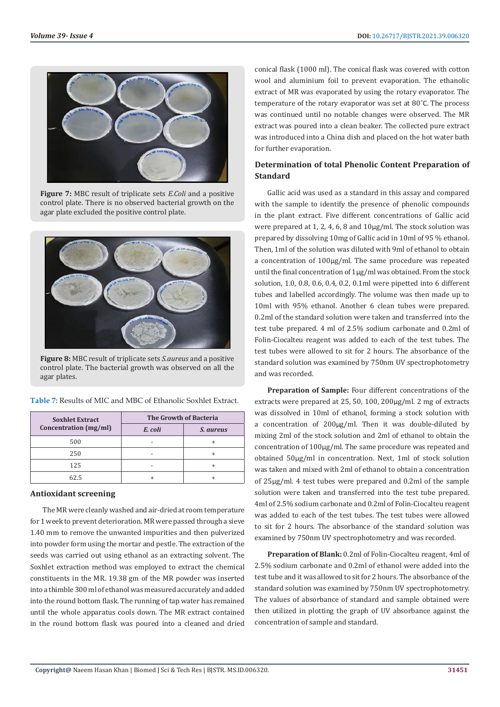

**Figure 7:** MBC result of triplicate sets *E.Coli* and a positive control plate. There is no observed bacterial growth on the agar plate excluded the positive control plate.



**Figure 8:** MBC result of triplicate sets *S.aureus* and a positive control plate. The bacterial growth was observed on all the agar plates.

| <b>Soxhlet Extract</b> | The Growth of Bacteria |                  |
|------------------------|------------------------|------------------|
| Concentration (mg/ml)  | E. coli                | <i>S. aureus</i> |
| 500                    |                        |                  |
| 250                    |                        |                  |
| 125                    |                        |                  |
| .ን 5                   |                        |                  |

**Table 7:** Results of MIC and MBC of Ethanolic Soxhlet Extract.

# **Antioxidant screening**

The MR were cleanly washed and air-dried at room temperature for 1 week to prevent deterioration. MR were passed through a sieve 1.40 mm to remove the unwanted impurities and then pulverized into powder form using the mortar and pestle. The extraction of the seeds was carried out using ethanol as an extracting solvent. The Soxhlet extraction method was employed to extract the chemical constituents in the MR. 19.38 gm of the MR powder was inserted into a thimble 300 ml of ethanol was measured accurately and added into the round bottom flask. The running of tap water has remained until the whole apparatus cools down. The MR extract contained in the round bottom flask was poured into a cleaned and dried

conical flask (1000 ml). The conical flask was covered with cotton wool and aluminium foil to prevent evaporation. The ethanolic extract of MR was evaporated by using the rotary evaporator. The temperature of the rotary evaporator was set at 80˚C. The process was continued until no notable changes were observed. The MR extract was poured into a clean beaker. The collected pure extract was introduced into a China dish and placed on the hot water bath for further evaporation.

# **Determination of total Phenolic Content Preparation of Standard**

Gallic acid was used as a standard in this assay and compared with the sample to identify the presence of phenolic compounds in the plant extract. Five different concentrations of Gallic acid were prepared at 1, 2, 4, 6, 8 and 10µg/ml. The stock solution was prepared by dissolving 10mg of Gallic acid in 10ml of 95 % ethanol. Then, 1ml of the solution was diluted with 9ml of ethanol to obtain a concentration of 100µg/ml. The same procedure was repeated until the final concentration of 1µg/ml was obtained. From the stock solution, 1.0, 0.8, 0.6, 0.4, 0.2, 0.1ml were pipetted into 6 different tubes and labelled accordingly. The volume was then made up to 10ml with 95% ethanol. Another 6 clean tubes were prepared. 0.2ml of the standard solution were taken and transferred into the test tube prepared. 4 ml of 2.5% sodium carbonate and 0.2ml of Folin-Ciocalteu reagent was added to each of the test tubes. The test tubes were allowed to sit for 2 hours. The absorbance of the standard solution was examined by 750nm UV spectrophotometry and was recorded.

**Preparation of Sample:** Four different concentrations of the extracts were prepared at 25, 50, 100, 200µg/ml. 2 mg of extracts was dissolved in 10ml of ethanol, forming a stock solution with a concentration of 200µg/ml. Then it was double-diluted by mixing 2ml of the stock solution and 2ml of ethanol to obtain the concentration of 100µg/ml. The same procedure was repeated and obtained 50µg/ml in concentration. Next, 1ml of stock solution was taken and mixed with 2ml of ethanol to obtain a concentration of 25µg/ml. 4 test tubes were prepared and 0.2ml of the sample solution were taken and transferred into the test tube prepared. 4ml of 2.5% sodium carbonate and 0.2ml of Folin-Ciocalteu reagent was added to each of the test tubes. The test tubes were allowed to sit for 2 hours. The absorbance of the standard solution was examined by 750nm UV spectrophotometry and was recorded.

**Preparation of Blank:** 0.2ml of Folin-Ciocalteu reagent, 4ml of 2.5% sodium carbonate and 0.2ml of ethanol were added into the test tube and it was allowed to sit for 2 hours. The absorbance of the standard solution was examined by 750nm UV spectrophotometry. The values of absorbance of standard and sample obtained were then utilized in plotting the graph of UV absorbance against the concentration of sample and standard.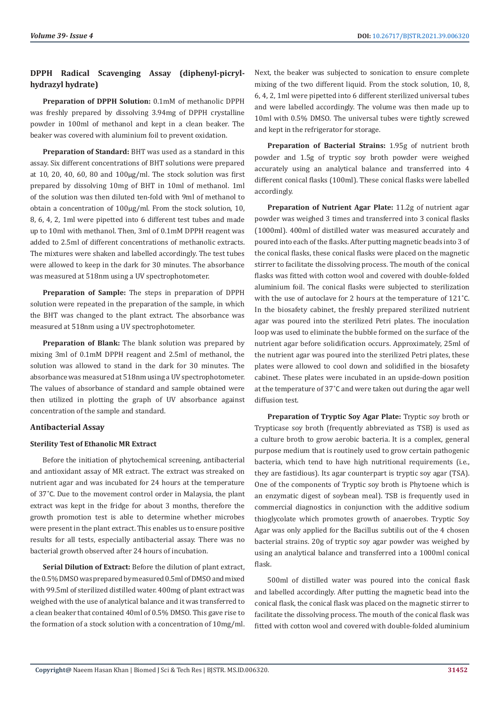# **DPPH Radical Scavenging Assay (diphenyl-picrylhydrazyl hydrate)**

**Preparation of DPPH Solution:** 0.1mM of methanolic DPPH was freshly prepared by dissolving 3.94mg of DPPH crystalline powder in 100ml of methanol and kept in a clean beaker. The beaker was covered with aluminium foil to prevent oxidation.

**Preparation of Standard:** BHT was used as a standard in this assay. Six different concentrations of BHT solutions were prepared at 10, 20, 40, 60, 80 and 100µg/ml. The stock solution was first prepared by dissolving 10mg of BHT in 10ml of methanol. 1ml of the solution was then diluted ten-fold with 9ml of methanol to obtain a concentration of 100µg/ml. From the stock solution, 10, 8, 6, 4, 2, 1ml were pipetted into 6 different test tubes and made up to 10ml with methanol. Then, 3ml of 0.1mM DPPH reagent was added to 2.5ml of different concentrations of methanolic extracts. The mixtures were shaken and labelled accordingly. The test tubes were allowed to keep in the dark for 30 minutes. The absorbance was measured at 518nm using a UV spectrophotometer.

**Preparation of Sample:** The steps in preparation of DPPH solution were repeated in the preparation of the sample, in which the BHT was changed to the plant extract. The absorbance was measured at 518nm using a UV spectrophotometer.

**Preparation of Blank:** The blank solution was prepared by mixing 3ml of 0.1mM DPPH reagent and 2.5ml of methanol, the solution was allowed to stand in the dark for 30 minutes. The absorbance was measured at 518nm using a UV spectrophotometer. The values of absorbance of standard and sample obtained were then utilized in plotting the graph of UV absorbance against concentration of the sample and standard.

# **Antibacterial Assay**

# **Sterility Test of Ethanolic MR Extract**

Before the initiation of phytochemical screening, antibacterial and antioxidant assay of MR extract. The extract was streaked on nutrient agar and was incubated for 24 hours at the temperature of 37˚C. Due to the movement control order in Malaysia, the plant extract was kept in the fridge for about 3 months, therefore the growth promotion test is able to determine whether microbes were present in the plant extract. This enables us to ensure positive results for all tests, especially antibacterial assay. There was no bacterial growth observed after 24 hours of incubation.

**Serial Dilution of Extract:** Before the dilution of plant extract, the 0.5% DMSO was prepared by measured 0.5ml of DMSO and mixed with 99.5ml of sterilized distilled water. 400mg of plant extract was weighed with the use of analytical balance and it was transferred to a clean beaker that contained 40ml of 0.5% DMSO. This gave rise to the formation of a stock solution with a concentration of 10mg/ml. Next, the beaker was subjected to sonication to ensure complete mixing of the two different liquid. From the stock solution, 10, 8, 6, 4, 2, 1ml were pipetted into 6 different sterilized universal tubes and were labelled accordingly. The volume was then made up to 10ml with 0.5% DMSO. The universal tubes were tightly screwed and kept in the refrigerator for storage.

**Preparation of Bacterial Strains:** 1.95g of nutrient broth powder and 1.5g of tryptic soy broth powder were weighed accurately using an analytical balance and transferred into 4 different conical flasks (100ml). These conical flasks were labelled accordingly.

**Preparation of Nutrient Agar Plate:** 11.2g of nutrient agar powder was weighed 3 times and transferred into 3 conical flasks (1000ml). 400ml of distilled water was measured accurately and poured into each of the flasks. After putting magnetic beads into 3 of the conical flasks, these conical flasks were placed on the magnetic stirrer to facilitate the dissolving process. The mouth of the conical flasks was fitted with cotton wool and covered with double-folded aluminium foil. The conical flasks were subjected to sterilization with the use of autoclave for 2 hours at the temperature of 121˚C. In the biosafety cabinet, the freshly prepared sterilized nutrient agar was poured into the sterilized Petri plates. The inoculation loop was used to eliminate the bubble formed on the surface of the nutrient agar before solidification occurs. Approximately, 25ml of the nutrient agar was poured into the sterilized Petri plates, these plates were allowed to cool down and solidified in the biosafety cabinet. These plates were incubated in an upside-down position at the temperature of 37˚C and were taken out during the agar well diffusion test.

**Preparation of Tryptic Soy Agar Plate:** Tryptic soy broth or Trypticase soy broth (frequently abbreviated as TSB) is used as a culture broth to grow aerobic bacteria. It is a complex, general purpose medium that is routinely used to grow certain pathogenic bacteria, which tend to have high nutritional requirements (i.e., they are fastidious). Its agar counterpart is tryptic soy agar (TSA). One of the components of Tryptic soy broth is Phytoene which is an enzymatic digest of soybean meal). TSB is frequently used in commercial diagnostics in conjunction with the additive sodium thioglycolate which promotes growth of anaerobes. Tryptic Soy Agar was only applied for the Bacillus subtilis out of the 4 chosen bacterial strains. 20g of tryptic soy agar powder was weighed by using an analytical balance and transferred into a 1000ml conical flask.

500ml of distilled water was poured into the conical flask and labelled accordingly. After putting the magnetic bead into the conical flask, the conical flask was placed on the magnetic stirrer to facilitate the dissolving process. The mouth of the conical flask was fitted with cotton wool and covered with double-folded aluminium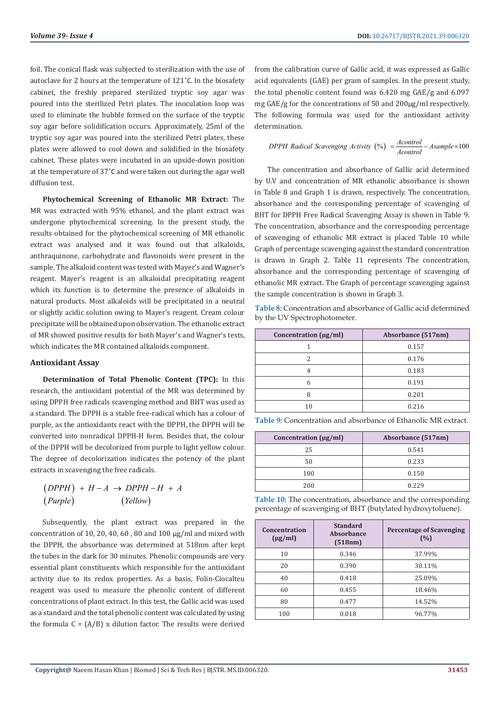foil. The conical flask was subjected to sterilization with the use of autoclave for 2 hours at the temperature of 121˚C. In the biosafety cabinet, the freshly prepared sterilized tryptic soy agar was poured into the sterilized Petri plates. The inoculation loop was used to eliminate the bubble formed on the surface of the tryptic soy agar before solidification occurs. Approximately, 25ml of the tryptic soy agar was poured into the sterilized Petri plates, these plates were allowed to cool down and solidified in the biosafety cabinet. These plates were incubated in an upside-down position at the temperature of 37˚C and were taken out during the agar well diffusion test.

**Phytochemical Screening of Ethanolic MR Extract:** The MR was extracted with 95% ethanol, and the plant extract was undergone phytochemical screening. In the present study, the results obtained for the phytochemical screening of MR ethanolic extract was analysed and it was found out that alkaloids, anthraquinone, carbohydrate and flavonoids were present in the sample. The alkaloid content was tested with Mayer's and Wagner's reagent. Mayer's reagent is an alkaloidal precipitating reagent which its function is to determine the presence of alkaloids in natural products. Most alkaloids will be precipitated in a neutral or slightly acidic solution owing to Mayer's reagent. Cream colour precipitate will be obtained upon observation. The ethanolic extract of MR showed positive results for both Mayer's and Wagner's tests, which indicates the MR contained alkaloids component.

# **Antioxidant Assay**

**Determination of Total Phenolic Content (TPC):** In this research, the antioxidant potential of the MR was determined by using DPPH free radicals scavenging method and BHT was used as a standard. The DPPH is a stable free-radical which has a colour of purple, as the antioxidants react with the DPPH, the DPPH will be converted into nonradical DPPH-H form. Besides that, the colour of the DPPH will be decolorized from purple to light yellow colour. The degree of decolorization indicates the potency of the plant extracts in scavenging the free radicals.

 $(DPPH) + H-A \rightarrow DPPH - H + A$ (*Purple*) (*Yellow*)  $(Purple)$ 

Subsequently, the plant extract was prepared in the concentration of 10, 20, 40, 60, 80 and 100  $\mu$ g/ml and mixed with the DPPH, the absorbance was determined at 518nm after kept the tubes in the dark for 30 minutes. Phenolic compounds are very essential plant constituents which responsible for the antioxidant activity due to its redox properties. As a basis, Folin-Ciocalteu reagent was used to measure the phenolic content of different concentrations of plant extract. In this test, the Gallic acid was used as a standard and the total phenolic content was calculated by using the formula  $C = (A/B)$  x dilution factor. The results were derived

from the calibration curve of Gallic acid, it was expressed as Gallic acid equivalents (GAE) per gram of samples. In the present study, the total phenolic content found was 6.420 mg GAE/g and 6.097 mg GAE/g for the concentrations of 50 and 200µg/ml respectively. The following formula was used for the antioxidant activity determination.

$$
DPPH \text{ Radical Scavenging Activity } (\%) = \frac{Acontrol}{Acontrol} - A sample \times 100
$$

The concentration and absorbance of Gallic acid determined by U.V and concentration of MR ethanolic absorbance is shown in Table 8 and Graph 1 is drawn, respectively. The concentration, absorbance and the corresponding percentage of scavenging of BHT for DPPH Free Radical Scavenging Assay is shown in Table 9. The concentration, absorbance and the corresponding percentage of scavenging of ethanolic MR extract is placed Table 10 while Graph of percentage scavenging against the standard concentration is drawn in Graph 2. Table 11 represents The concentration, absorbance and the corresponding percentage of scavenging of ethanolic MR extract. The Graph of percentage scavenging against the sample concentration is shown in Graph 3.

**Table 8:** Concentration and absorbance of Gallic acid determined by the UV Spectrophotometer.

| Concentration (µg/ml) | Absorbance (517nm) |
|-----------------------|--------------------|
|                       | 0.157              |
| 2                     | 0.176              |
| 4                     | 0.183              |
| 6                     | 0.191              |
| 8                     | 0.201              |
| 10                    | 0.216              |

**Table 9:** Concentration and absorbance of Ethanolic MR extract.

| Concentration $(\mu g/ml)$ | Absorbance (517nm) |
|----------------------------|--------------------|
| 25                         | 0.541              |
| 50                         | 0.233              |
| 100                        | 0.150              |
| 200                        | 0.229              |

**Table 10:** The concentration, absorbance and the corresponding percentage of scavenging of BHT (butylated hydroxytoluene).

| Concentration<br>$(\mu g/ml)$ | <b>Standard</b><br>Absorbance<br>(518nm) | <b>Percentage of Scavenging</b><br>(%) |
|-------------------------------|------------------------------------------|----------------------------------------|
| 10                            | 0.346                                    | 37.99%                                 |
| 20                            | 0.390                                    | 30.11%                                 |
| 40                            | 0.418                                    | 25.09%                                 |
| 60                            | 0.455                                    | 18.46%                                 |
| 80                            | 0.477                                    | 14.52%                                 |
| 100                           | 0.018                                    | 96.77%                                 |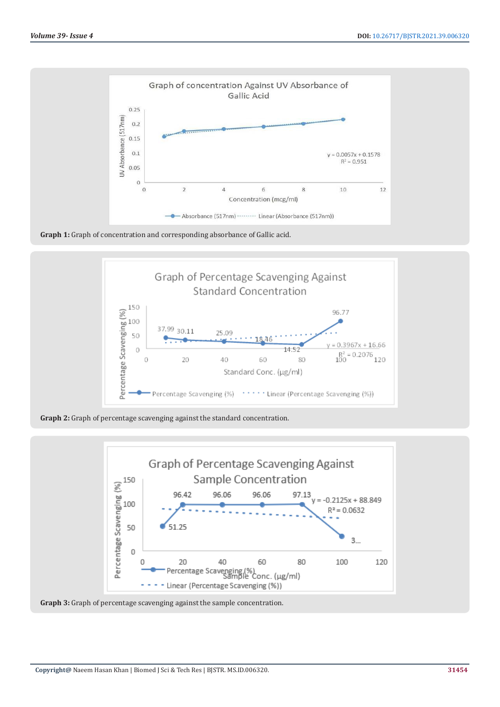

**Graph 1:** Graph of concentration and corresponding absorbance of Gallic acid.



**Graph 2:** Graph of percentage scavenging against the standard concentration.



**Graph 3:** Graph of percentage scavenging against the sample concentration.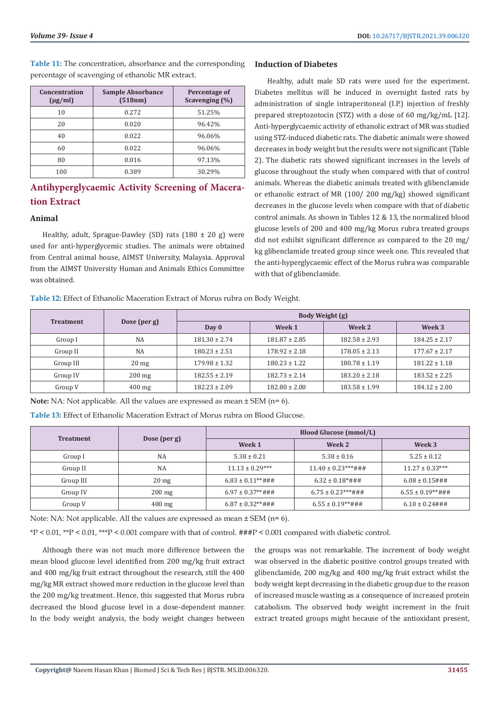**Table 11:** The concentration, absorbance and the corresponding percentage of scavenging of ethanolic MR extract.

| Concentration<br>$(\mu g/ml)$ | <b>Sample Absorbance</b><br>(518nm) | Percentage of<br>Scavenging (%) |  |
|-------------------------------|-------------------------------------|---------------------------------|--|
| 10                            | 0.272                               | 51.25%                          |  |
| 20                            | 0.020                               | 96.42%                          |  |
| 40                            | 0.022                               | 96.06%                          |  |
| 60                            | 0.022                               | 96.06%                          |  |
| 80                            | 0.016                               | 97.13%                          |  |
| 100                           | 0.389                               | 30.29%                          |  |

# **Antihyperglycaemic Activity Screening of Maceration Extract**

# **Animal**

Healthy, adult, Sprague-Dawley (SD) rats  $(180 \pm 20$  g) were used for anti-hyperglycemic studies. The animals were obtained from Central animal house, AIMST University, Malaysia. Approval from the AIMST University Human and Animals Ethics Committee was obtained.

# **Induction of Diabetes**

Healthy, adult male SD rats were used for the experiment. Diabetes mellitus will be induced in overnight fasted rats by administration of single intraperitoneal (I.P.) injection of freshly prepared streptozotocin (STZ) with a dose of 60 mg/kg/mL [12]. Anti-hyperglycaemic activity of ethanolic extract of MR was studied using STZ-induced diabetic rats. The diabetic animals were showed decreases in body weight but the results were not significant (Table 2). The diabetic rats showed significant increases in the levels of glucose throughout the study when compared with that of control animals. Whereas the diabetic animals treated with glibenclamide or ethanolic extract of MR (100/ 200 mg/kg) showed significant decreases in the glucose levels when compare with that of diabetic control animals. As shown in Tables 12 & 13, the normalized blood glucose levels of 200 and 400 mg/kg Morus rubra treated groups did not exhibit significant difference as compared to the 20 mg/ kg glibenclamide treated group since week one. This revealed that the anti-hyperglycaemic effect of the Morus rubra was comparable with that of glibenclamide.

**Table 12:** Effect of Ethanolic Maceration Extract of Morus rubra on Body Weight.

| <b>Treatment</b> | Dose (per g)     | Body Weight (g)   |                   |                   |                   |
|------------------|------------------|-------------------|-------------------|-------------------|-------------------|
|                  |                  | Day 0             | Week 1            | Week 2            | Week 3            |
| Group I          | <b>NA</b>        | $181.30 \pm 2.74$ | $181.87 \pm 2.85$ | $182.58 \pm 2.93$ | $184.25 \pm 2.17$ |
| Group II         | <b>NA</b>        | $180.23 \pm 2.51$ | $178.92 \pm 2.18$ | $178.05 \pm 2.13$ | $177.67 \pm 2.17$ |
| Group III        | 20 <sub>mg</sub> | $179.98 \pm 1.32$ | $180.23 \pm 1.22$ | $180.78 \pm 1.19$ | $181.22 \pm 1.18$ |
| Group IV         | $200 \text{ mg}$ | $182.55 \pm 2.19$ | $182.73 \pm 2.14$ | $183.20 \pm 2.18$ | $183.52 \pm 2.25$ |
| Group V          | $400$ mg         | $182.23 \pm 2.09$ | $182.80 \pm 2.00$ | $183.58 \pm 1.99$ | $184.12 \pm 2.00$ |

**Note:** NA: Not applicable. All the values are expressed as mean ± SEM (n= 6).

**Table 13:** Effect of Ethanolic Maceration Extract of Morus rubra on Blood Glucose.

| <b>Treatment</b> | Dose (per g)    | <b>Blood Glucose (mmol/L)</b> |                         |                        |  |
|------------------|-----------------|-------------------------------|-------------------------|------------------------|--|
|                  |                 | Week 1                        | Week 2                  | Week 3                 |  |
| Group I          | <b>NA</b>       | $5.38 \pm 0.21$               | $5.38 \pm 0.16$         | $5.25 \pm 0.12$        |  |
| Group II         | <b>NA</b>       | $11.13 \pm 0.29***$           | $11.40 \pm 0.23***$ ### | $11.27 \pm 0.33***$    |  |
| Group III        | $20 \text{ mg}$ | $6.83 \pm 0.11***$ ###        | $6.32 \pm 0.18$ *###    | $6.08 \pm 0.15$ ###    |  |
| Group IV         | $200$ mg        | $6.97 \pm 0.37***$ ###        | $6.75 \pm 0.23***$ ###  | $6.55 \pm 0.19***$ ### |  |
| Group V          | $400$ mg        | $6.87 \pm 0.32**\#H\#$        | $6.55 \pm 0.19***$ ###  | $6.10 \pm 0.24$ ###    |  |

Note: NA: Not applicable. All the values are expressed as mean  $\pm$  SEM (n= 6).

\*P < 0.01, \*\*P < 0.01, \*\*\*P < 0.001 compare with that of control. ###P < 0.001 compared with diabetic control.

Although there was not much more difference between the mean blood glucose level identified from 200 mg/kg fruit extract and 400 mg/kg fruit extract throughout the research, still the 400 mg/kg MR extract showed more reduction in the glucose level than the 200 mg/kg treatment. Hence, this suggested that Morus rubra decreased the blood glucose level in a dose-dependent manner. In the body weight analysis, the body weight changes between

the groups was not remarkable. The increment of body weight was observed in the diabetic positive control groups treated with glibenclamide, 200 mg/kg and 400 mg/kg fruit extract whilst the body weight kept decreasing in the diabetic group due to the reason of increased muscle wasting as a consequence of increased protein catabolism. The observed body weight increment in the fruit extract treated groups might because of the antioxidant present,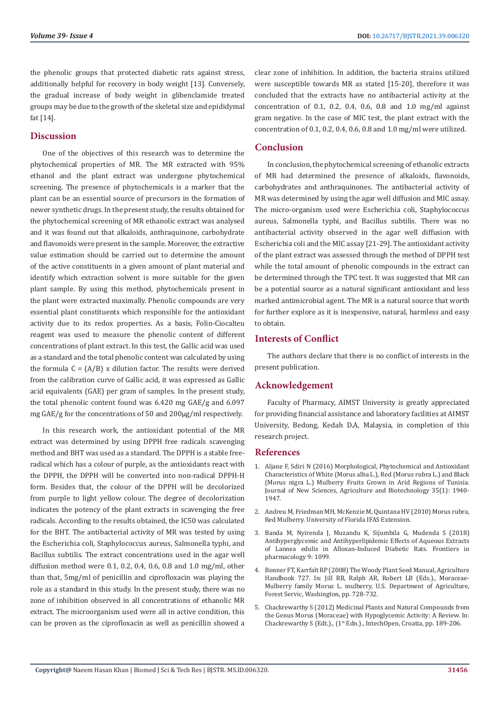the phenolic groups that protected diabetic rats against stress, additionally helpful for recovery in body weight [13]. Conversely, the gradual increase of body weight in glibenclamide treated groups may be due to the growth of the skeletal size and epididymal fat [14].

# **Discussion**

One of the objectives of this research was to determine the phytochemical properties of MR. The MR extracted with 95% ethanol and the plant extract was undergone phytochemical screening. The presence of phytochemicals is a marker that the plant can be an essential source of precursors in the formation of newer synthetic drugs. In the present study, the results obtained for the phytochemical screening of MR ethanolic extract was analysed and it was found out that alkaloids, anthraquinone, carbohydrate and flavonoids were present in the sample. Moreover, the extractive value estimation should be carried out to determine the amount of the active constituents in a given amount of plant material and identify which extraction solvent is more suitable for the given plant sample. By using this method, phytochemicals present in the plant were extracted maximally. Phenolic compounds are very essential plant constituents which responsible for the antioxidant activity due to its redox properties. As a basis, Folin-Ciocalteu reagent was used to measure the phenolic content of different concentrations of plant extract. In this test, the Gallic acid was used as a standard and the total phenolic content was calculated by using the formula  $C = (A/B)$  x dilution factor. The results were derived from the calibration curve of Gallic acid, it was expressed as Gallic acid equivalents (GAE) per gram of samples. In the present study, the total phenolic content found was 6.420 mg GAE/g and 6.097 mg GAE/g for the concentrations of 50 and 200µg/ml respectively.

In this research work, the antioxidant potential of the MR extract was determined by using DPPH free radicals scavenging method and BHT was used as a standard. The DPPH is a stable freeradical which has a colour of purple, as the antioxidants react with the DPPH, the DPPH will be converted into non-radical DPPH-H form. Besides that, the colour of the DPPH will be decolorized from purple to light yellow colour. The degree of decolorization indicates the potency of the plant extracts in scavenging the free radicals. According to the results obtained, the IC50 was calculated for the BHT. The antibacterial activity of MR was tested by using the Escherichia coli, Staphylococcus aureus, Salmonella typhi, and Bacillus subtilis. The extract concentrations used in the agar well diffusion method were 0.1, 0.2, 0.4, 0.6, 0.8 and 1.0 mg/ml, other than that, 5mg/ml of penicillin and ciprofloxacin was playing the role as a standard in this study. In the present study, there was no zone of inhibition observed in all concentrations of ethanolic MR extract. The microorganism used were all in active condition, this can be proven as the ciprofloxacin as well as penicillin showed a

clear zone of inhibition. In addition, the bacteria strains utilized were susceptible towards MR as stated [15-20], therefore it was concluded that the extracts have no antibacterial activity at the concentration of 0.1, 0.2, 0.4, 0.6, 0.8 and 1.0 mg/ml against gram negative. In the case of MIC test, the plant extract with the concentration of 0.1, 0.2, 0.4, 0.6, 0.8 and 1.0 mg/ml were utilized.

# **Conclusion**

In conclusion, the phytochemical screening of ethanolic extracts of MR had determined the presence of alkaloids, flavonoids, carbohydrates and anthraquinones. The antibacterial activity of MR was determined by using the agar well diffusion and MIC assay. The micro-organism used were Escherichia coli, Staphylococcus aureus, Salmonella typhi, and Bacillus subtilis. There was no antibacterial activity observed in the agar well diffusion with Escherichia coli and the MIC assay [21-29]. The antioxidant activity of the plant extract was assessed through the method of DPPH test while the total amount of phenolic compounds in the extract can be determined through the TPC test. It was suggested that MR can be a potential source as a natural significant antioxidant and less marked antimicrobial agent. The MR is a natural source that worth for further explore as it is inexpensive, natural, harmless and easy to obtain.

# **Interests of Conflict**

The authors declare that there is no conflict of interests in the present publication.

# **Acknowledgement**

Faculty of Pharmacy, AIMST University is greatly appreciated for providing financial assistance and laboratory facilities at AIMST University, Bedong, Kedah D.A, Malaysia, in completion of this research project.

# **References**

- 1. [Aljane F, Sdiri N \(2016\) Morphological, Phytochemical and Antioxidant](https://www.jnsciences.org/agri-biotech/51-volume-35/268-morphological,-phytochemical-and-antioxidant-characteristics-of-white-morus-alba-l-,-red-morus-rubra-l-and-black-morus-nigra-l-mulberry-fruits-grown-in-arid-regions-of-tunisia.html) [Characteristics of White \(Morus alba L.\), Red \(Morus rubra L.\) and Black](https://www.jnsciences.org/agri-biotech/51-volume-35/268-morphological,-phytochemical-and-antioxidant-characteristics-of-white-morus-alba-l-,-red-morus-rubra-l-and-black-morus-nigra-l-mulberry-fruits-grown-in-arid-regions-of-tunisia.html) [\(Morus nigra L.\) Mulberry Fruits Grown in Arid Regions of Tunisia.](https://www.jnsciences.org/agri-biotech/51-volume-35/268-morphological,-phytochemical-and-antioxidant-characteristics-of-white-morus-alba-l-,-red-morus-rubra-l-and-black-morus-nigra-l-mulberry-fruits-grown-in-arid-regions-of-tunisia.html) [Journal of New Sciences, Agriculture and Biotechnology 35\(1\): 1940-](https://www.jnsciences.org/agri-biotech/51-volume-35/268-morphological,-phytochemical-and-antioxidant-characteristics-of-white-morus-alba-l-,-red-morus-rubra-l-and-black-morus-nigra-l-mulberry-fruits-grown-in-arid-regions-of-tunisia.html) [1947.](https://www.jnsciences.org/agri-biotech/51-volume-35/268-morphological,-phytochemical-and-antioxidant-characteristics-of-white-morus-alba-l-,-red-morus-rubra-l-and-black-morus-nigra-l-mulberry-fruits-grown-in-arid-regions-of-tunisia.html)
- 2. Andreu M, Friedman MH, McKenzie M, Quintana HV (2010) Morus rubra, Red Mulberry. University of Florida IFAS Extension.
- 3. [Banda M, Nyirenda J, Muzandu K, Sijumbila G, Mudenda S \(2018\)](https://www.ncbi.nlm.nih.gov/pmc/articles/PMC6172360/) [Antihyperglycemic and Antihyperlipidemic Effects of Aqueous Extracts](https://www.ncbi.nlm.nih.gov/pmc/articles/PMC6172360/) [of Lannea edulis in Alloxan-Induced Diabetic Rats. Frontiers in](https://www.ncbi.nlm.nih.gov/pmc/articles/PMC6172360/) [pharmacology 9: 1099.](https://www.ncbi.nlm.nih.gov/pmc/articles/PMC6172360/)
- 4. [Bonner FT, Karrfalt RP \(2008\) The Woody Plant Seed Manual, Agriculture](https://www.fs.fed.us/rm/pubs_series/wo/wo_ah727.pdf) [Handbook 727. In: Jill RB, Ralph AR, Robert LB \(Eds.\)., Moraceae-](https://www.fs.fed.us/rm/pubs_series/wo/wo_ah727.pdf)[Mulberry family Morus L. mulberry, U.S. Department of Agriculture,](https://www.fs.fed.us/rm/pubs_series/wo/wo_ah727.pdf) [Forest Servic, Washington, pp. 728-732.](https://www.fs.fed.us/rm/pubs_series/wo/wo_ah727.pdf)
- 5. [Chackrewarthy S \(2012\) Medicinal Plants and Natural Compounds from](https://www.intechopen.com/chapters/41389) [the Genus Morus \(Moraceae\) with Hypoglycemic Activity: A Review. In:](https://www.intechopen.com/chapters/41389) Chackrewarthy S (Edt.)., (1<sup>st</sup> Edn.)., IntechOpen, Croatia, pp. 189-206.